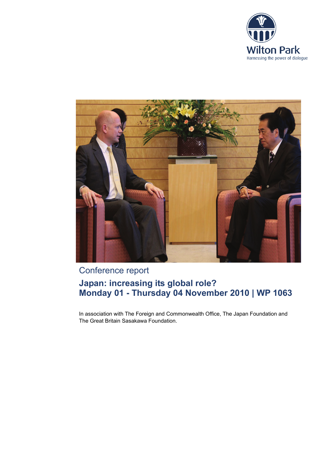



# Conference report

# **Japan: increasing its global role? Monday 01 - Thursday 04 November 2010 | WP 1063**

In association with The Foreign and Commonwealth Office, The Japan Foundation and The Great Britain Sasakawa Foundation.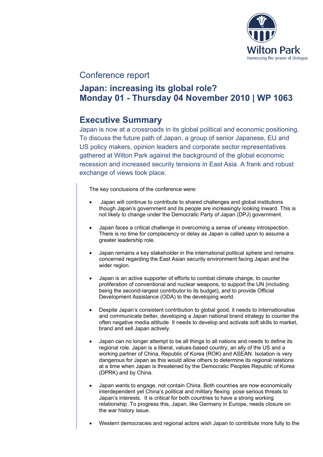

# Conference report

# **Japan: increasing its global role? Monday 01 - Thursday 04 November 2010 | WP 1063**

# **Executive Summary**

Japan is now at a crossroads in its global political and economic positioning. To discuss the future path of Japan, a group of senior Japanese, EU and US policy makers, opinion leaders and corporate sector representatives gathered at Wilton Park against the background of the global economic recession and increased security tensions in East Asia. A frank and robust exchange of views took place.

The key conclusions of the conference were:

- Japan will continue to contribute to shared challenges and global institutions though Japan's government and its people are increasingly looking inward. This is not likely to change under the Democratic Party of Japan (DPJ) government.
- Japan faces a critical challenge in overcoming a sense of uneasy introspection. There is no time for complacency or delay as Japan is called upon to assume a greater leadership role.
- Japan remains a key stakeholder in the international political sphere and remains concerned regarding the East Asian security environment facing Japan and the wider region.
- Japan is an active supporter of efforts to combat climate change, to counter proliferation of conventional and nuclear weapons, to support the UN (including being the second-largest contributor to its budget), and to provide Official Development Assistance (ODA) to the developing world.
- Despite Japan's consistent contribution to global good, it needs to internationalise and communicate better, developing a Japan national brand strategy to counter the often negative media attitude. It needs to develop and activate soft skills to market, brand and sell Japan actively.
- Japan can no longer attempt to be all things to all nations and needs to define its regional role. Japan is a liberal, values-based country, an ally of the US and a working partner of China, Republic of Korea (ROK) and ASEAN. Isolation is very dangerous for Japan as this would allow others to determine its regional relations at a time when Japan is threatened by the Democratic Peoples Republic of Korea (DPRK) and by China.
- Japan wants to engage, not contain China. Both countries are now economically interdependent yet China's political and military flexing pose serious threats to Japan's interests. It is critical for both countries to have a strong working relationship .To progress this, Japan, like Germany in Europe, needs closure on the war history issue.
- Western democracies and regional actors wish Japan to contribute more fully to the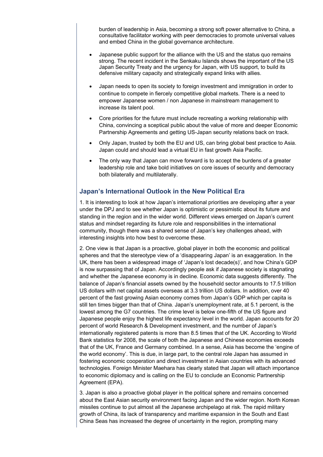burden of leadership in Asia, becoming a strong soft power alternative to China, a consultative facilitator working with peer democracies to promote universal values and embed China in the global governance architecture.

- Japanese public support for the alliance with the US and the status quo remains strong. The recent incident in the Senkaku Islands shows the important of the US Japan Security Treaty and the urgency for Japan, with US support, to build its defensive military capacity and strategically expand links with allies.
- Japan needs to open its society to foreign investment and immigration in order to continue to compete in fiercely competitive global markets. There is a need to empower Japanese women / non Japanese in mainstream management to increase its talent pool.
- Core priorities for the future must include recreating a working relationship with China, convincing a sceptical public about the value of more and deeper Economic Partnership Agreements and getting US-Japan security relations back on track.
- Only Japan, trusted by both the EU and US, can bring global best practice to Asia. Japan could and should lead a virtual EU in fast growth Asia Pacific.
- The only way that Japan can move forward is to accept the burdens of a greater leadership role and take bold initiatives on core issues of security and democracy both bilaterally and multilaterally.

## **Japan's International Outlook in the New Political Era**

1. It is interesting to look at how Japan's international priorities are developing after a year under the DPJ and to see whether Japan is optimistic or pessimistic about its future and standing in the region and in the wider world. Different views emerged on Japan's current status and mindset regarding its future role and responsibilities in the international community, though there was a shared sense of Japan's key challenges ahead, with interesting insights into how best to overcome these.

2. One view is that Japan is a proactive, global player in both the economic and political spheres and that the stereotype view of a 'disappearing Japan' is an exaggeration. In the UK, there has been a widespread image of 'Japan's lost decade(s)', and how China's GDP is now surpassing that of Japan. Accordingly people ask if Japanese society is stagnating and whether the Japanese economy is in decline. Economic data suggests differently. The balance of Japan's financial assets owned by the household sector amounts to 17.5 trillion US dollars with net capital assets overseas at 3.3 trillion US dollars. In addition, over 40 percent of the fast growing Asian economy comes from Japan's GDP which per capita is still ten times bigger than that of China. Japan's unemployment rate, at 5.1 percent, is the lowest among the G7 countries. The crime level is below one-fifth of the US figure and Japanese people enjoy the highest life expectancy level in the world. Japan accounts for 20 percent of world Research & Development investment, and the number of Japan's internationally registered patents is more than 8.5 times that of the UK. According to World Bank statistics for 2008, the scale of both the Japanese and Chinese economies exceeds that of the UK, France and Germany combined. In a sense, Asia has become the 'engine of the world economy'. This is due, in large part, to the central role Japan has assumed in fostering economic cooperation and direct investment in Asian countries with its advanced technologies. Foreign Minister Maehara has clearly stated that Japan will attach importance to economic diplomacy and is calling on the EU to conclude an Economic Partnership Agreement (EPA).

3. Japan is also a proactive global player in the political sphere and remains concerned about the East Asian security environment facing Japan and the wider region. North Korean missiles continue to put almost all the Japanese archipelago at risk. The rapid military growth of China, its lack of transparency and maritime expansion in the South and East China Seas has increased the degree of uncertainty in the region, prompting many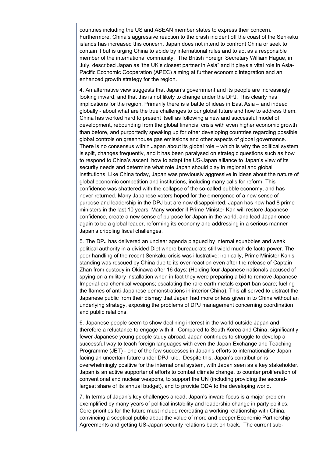countries including the US and ASEAN member states to express their concern. Furthermore, China's aggressive reaction to the crash incident off the coast of the Senkaku islands has increased this concern. Japan does not intend to confront China or seek to contain it but is urging China to abide by international rules and to act as a responsible member of the international community. The British Foreign Secretary William Hague, in July, described Japan as 'the UK's closest partner in Asia" and it plays a vital role in Asia-Pacific Economic Cooperation (APEC) aiming at further economic integration and an enhanced growth strategy for the region.

4. An alternative view suggests that Japan's government and its people are increasingly looking inward, and that this is not likely to change under the DPJ. This clearly has implications for the region. Primarily there is a battle of ideas in East Asia – and indeed globally - about what are the true challenges to our global future and how to address them. China has worked hard to present itself as following a new and successful model of development, rebounding from the global financial crisis with even higher economic growth than before, and purportedly speaking up for other developing countries regarding possible global controls on greenhouse gas emissions and other aspects of global governance. There is no consensus within Japan about its global role – which is why the political system is split, changes frequently, and it has been paralysed on strategic questions such as how to respond to China's ascent, how to adapt the US-Japan alliance to Japan's view of its security needs and determine what role Japan should play in regional and global institutions. Like China today, Japan was previously aggressive in ideas about the nature of global economic competition and institutions, including many calls for reform. This confidence was shattered with the collapse of the so-called bubble economy, and has never returned. Many Japanese voters hoped for the emergence of a new sense of purpose and leadership in the DPJ but are now disappointed. Japan has now had 8 prime ministers in the last 10 years. Many wonder if Prime Minister Kan will restore Japanese confidence, create a new sense of purpose for Japan in the world, and lead Japan once again to be a global leader, reforming its economy and addressing in a serious manner Japan's crippling fiscal challenges.

5. The DPJ has delivered an unclear agenda plagued by internal squabbles and weak political authority in a divided Diet where bureaucrats still wield much de facto power. The poor handling of the recent Senkaku crisis was illustrative: ironically, Prime Minister Kan's standing was rescued by China due to its over-reaction even after the release of Captain Zhan from custody in Okinawa after 16 days: (Holding four Japanese nationals accused of spying on a military installation when in fact they were preparing a bid to remove Japanese Imperial-era chemical weapons; escalating the rare earth metals export ban scare; fueling the flames of anti-Japanese demonstrations in interior China). This all served to distract the Japanese public from their dismay that Japan had more or less given in to China without an underlying strategy, exposing the problems of DPJ management concerning coordination and public relations.

6. Japanese people seem to show declining interest in the world outside Japan and therefore a reluctance to engage with it. Compared to South Korea and China, significantly fewer Japanese young people study abroad. Japan continues to struggle to develop a successful way to teach foreign languages with even the Japan Exchange and Teaching Programme (JET) - one of the few successes in Japan's efforts to internationalise Japan – facing an uncertain future under DPJ rule. Despite this, Japan's contribution is overwhelmingly positive for the international system, with Japan seen as a key stakeholder. Japan is an active supporter of efforts to combat climate change, to counter proliferation of conventional and nuclear weapons, to support the UN (including providing the secondlargest share of its annual budget), and to provide ODA to the developing world.

7. In terms of Japan's key challenges ahead, Japan's inward focus is a major problem exemplified by many years of political instability and leadership change in party politics. Core priorities for the future must include recreating a working relationship with China, convincing a sceptical public about the value of more and deeper Economic Partnership Agreements and getting US-Japan security relations back on track. The current sub-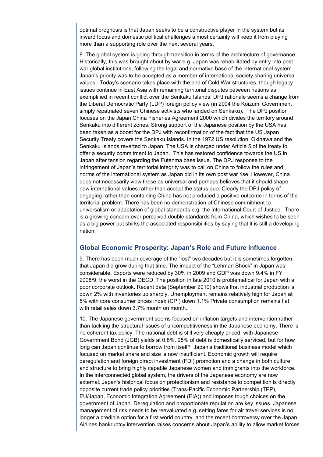optimal prognosis is that Japan seeks to be a constructive player in the system but its inward focus and domestic political challenges almost certainly will keep it from playing more than a supporting role over the next several years.

8. The global system is going through transition in terms of the architecture of governance. Historically, this was brought about by war e.g. Japan was rehabilitated by entry into post war global institutions, following the legal and normative base of the international system. Japan's priority was to be accepted as a member of international society sharing universal values. Today's scenario takes place with the end of Cold War structures, though legacy issues continue in East Asia with remaining territorial disputes between nations as exemplified in recent conflict over the Senkaku Islands. DPJ rationale seems a change from the Liberal Democratic Party (LDP) foreign policy view (in 2004 the Koizumi Government simply repatriated seven Chinese activists who landed on Senkaku). The DPJ position focuses on the Japan China Fisheries Agreement 2000 which divides the territory around Senkaku into different zones. Strong support of the Japanese position by the USA has been taken as a boost for the DPJ with reconfirmation of the fact that the US Japan Security Treaty covers the Senkaku Islands. In the 1972 US resolution, Okinawa and the Senkaku Islands reverted to Japan. The USA is charged under Article 5 of the treaty to offer a security commitment to Japan. This has restored confidence towards the US in Japan after tension regarding the Futenma base issue. The DPJ response to the infringement of Japan's territorial integrity was to call on China to follow the rules and norms of the international system as Japan did in its own post war rise. However, China does not necessarily view these as universal and perhaps believes that it should shape new international values rather than accept the status quo. Clearly the DPJ policy of engaging rather than containing China has not produced a positive outcome in terms of the territorial problem. There has been no demonstration of Chinese commitment to universalism or adaptation of global standards e.g. the International Court of Justice. There is a growing concern over perceived double standards from China, which wishes to be seen as a big power but shirks the associated responsibilities by saying that it is still a developing nation.

## **Global Economic Prosperity: Japan's Role and Future Influence**

9. There has been much coverage of the "lost" two decades but it is sometimes forgotten that Japan did grow during that time. The impact of the "Lehman Shock" in Japan was considerable. Exports were reduced by 30% in 2009 and GDP was down 9.4% in FY 2008/9, the worst in the OECD. The position in late 2010 is problematical for Japan with a poor corporate outlook. Recent data (September 2010) shows that industrial production is down 2% with inventories up sharply. Unemployment remains relatively high for Japan at 5% with core consumer prices index (CPI) down 1.1% Private consumption remains flat with retail sales down 3.7% month on month.

10. The Japanese government seems focused on inflation targets and intervention rather than tackling the structural issues of uncompetitiveness in the Japanese economy. There is no coherent tax policy. The national debt is still very cheaply priced, with Japanese Government Bond (JGB) yields at 0.8%. 95% of debt is domestically serviced, but for how long can Japan continue to borrow from itself? Japan's traditional business model which focused on market share and size is now insufficient. Economic growth will require deregulation and foreign direct investment (FDI) promotion and a change in both culture and structure to bring highly capable Japanese women and immigrants into the workforce. In the interconnected global system, the drivers of the Japanese economy are now external. Japan's historical focus on protectionism and resistance to competition is directly opposite current trade policy priorities (Trans-Pacific Economic Partnership (TPP), EU/Japan, Economic Integration Agreement (EIA)) and imposes tough choices on the government of Japan. Deregulation and proportionate regulation are key issues. Japanese management of risk needs to be reevaluated e.g. setting fares for air travel services is no longer a credible option for a first world country, and the recent controversy over the Japan Airlines bankruptcy intervention raises concerns about Japan's ability to allow market forces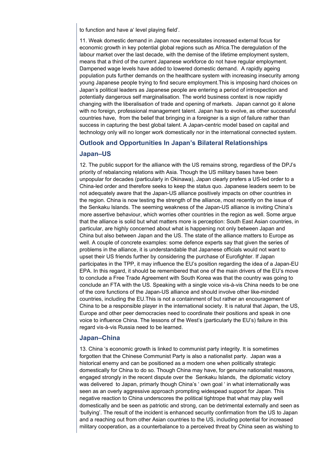to function and have a' level playing field'.

11. Weak domestic demand in Japan now necessitates increased external focus for economic growth in key potential global regions such as Africa.The deregulation of the labour market over the last decade, with the demise of the lifetime employment system, means that a third of the current Japanese workforce do not have regular employment. Dampened wage levels have added to lowered domestic demand. A rapidly ageing population puts further demands on the healthcare system with increasing insecurity among young Japanese people trying to find secure employment.This is imposing hard choices on Japan's political leaders as Japanese people are entering a period of introspection and potentially dangerous self marginalisation. The world business context is now rapidly changing with the liberalisation of trade and opening of markets. Japan cannot go it alone with no foreign, professional management talent. Japan has to evolve, as other successful countries have, from the belief that bringing in a foreigner is a sign of failure rather than success in capturing the best global talent. A Japan-centric model based on capital and technology only will no longer work domestically nor in the international connected system.

### **Outlook and Opportunities In Japan's Bilateral Relationships**

### **Japan–US**

12. The public support for the alliance with the US remains strong, regardless of the DPJ's priority of rebalancing relations with Asia. Though the US military bases have been unpopular for decades (particularly in Okinawa), Japan clearly prefers a US-led order to a China-led order and therefore seeks to keep the status quo. Japanese leaders seem to be not adequately aware that the Japan-US alliance positively impacts on other countries in the region. China is now testing the strength of the alliance, most recently on the issue of the Senkaku Islands. The seeming weakness of the Japan-US alliance is inviting China's more assertive behaviour, which worries other countries in the region as well. Some argue that the alliance is solid but what matters more is perception: South East Asian countries, in particular, are highly concerned about what is happening not only between Japan and China but also between Japan and the US. The state of the alliance matters to Europe as well. A couple of concrete examples: some defence experts say that given the series of problems in the alliance, it is understandable that Japanese officials would not want to upset their US friends further by considering the purchase of Eurofighter. If Japan participates in the TPP, it may influence the EU's position regarding the idea of a Japan-EU EPA. In this regard, it should be remembered that one of the main drivers of the EU's move to conclude a Free Trade Agreement with South Korea was that the country was going to conclude an FTA with the US. Speaking with a single voice vis-à-vis China needs to be one of the core functions of the Japan-US alliance and should involve other like-minded countries, including the EU.This is not a containment of but rather an encouragement of China to be a responsible player in the international society. It is natural that Japan, the US, Europe and other peer democracies need to coordinate their positions and speak in one voice to influence China. The lessons of the West's (particularly the EU's) failure in this regard vis-à-vis Russia need to be learned.

### **Japan–China**

13. China 's economic growth is linked to communist party integrity. It is sometimes forgotten that the Chinese Communist Party is also a nationalist party. Japan was a historical enemy and can be positioned as a modern one when politically strategic domestically for China to do so. Though China may have, for genuine nationalist reasons, engaged strongly in the recent dispute over the Senkaku Islands, the diplomatic victory was delivered to Japan, primarly though China's ' own goal ' in what internationally was seen as an overly aggressive approach prompting widespead support for Japan. This negative reaction to China underscores the political tightrope that what may play well domestically and be seen as patriotic and strong, can be detrimental externally and seen as 'bullying'. The result of the incident is enhanced security confirmation from the US to Japan and a reaching out from other Asian countries to the US, including potential for increased military cooperation, as a counterbalance to a perceived threat by China seen as wishing to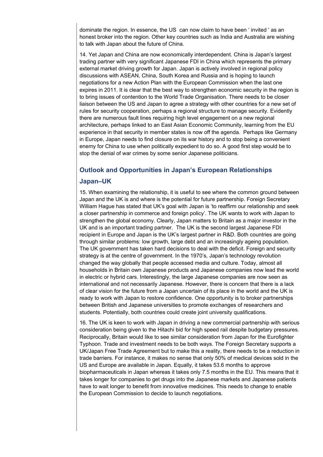dominate the region. In essence, the US can now claim to have been ' invited ' as an honest broker into the region. Other key countries such as India and Australia are wishing to talk with Japan about the future of China.

14. Yet Japan and China are now economically interdependent. China is Japan's largest trading partner with very significant Japanese FDI in China which represents the primary external market driving growth for Japan. Japan is actively involved in regional policy discussions with ASEAN, China, South Korea and Russia and is hoping to launch negotiations for a new Action Plan with the European Commission when the last one expires in 2011. It is clear that the best way to strengthen economic security in the region is to bring issues of contention to the World Trade Organisation. There needs to be closer liaison between the US and Japan to agree a strategy with other countries for a new set of rules for security cooperation, perhaps a regional structure to manage security. Evidently there are numerous fault lines requiring high level engagement on a new regional architecture, perhaps linked to an East Asian Economic Community, learning from the EU experience in that security in member states is now off the agenda. Perhaps like Germany in Europe, Japan needs to find closure on its war history and to stop being a convenient enemy for China to use when politically expedient to do so. A good first step would be to stop the denial of war crimes by some senior Japanese politicians.

## **Outlook and Opportunities in Japan's European Relationships**

### **Japan–UK**

15. When examining the relationship, it is useful to see where the common ground between Japan and the UK is and where is the potential for future partnership. Foreign Secretary William Hague has stated that UK's goal with Japan is 'to reaffirm our relationship and seek a closer partnership in commerce and foreign policy'. The UK wants to work with Japan to strengthen the global economy. Clearly, Japan matters to Britain as a major investor in the UK and is an important trading partner. The UK is the second largest Japanese FDI recipient in Europe and Japan is the UK's largest partner in R&D. Both countries are going through similar problems: low growth, large debt and an increasingly ageing population. The UK government has taken hard decisions to deal with the deficit. Foreign and security strategy is at the centre of government. In the 1970's, Japan's technology revolution changed the way globally that people accessed media and culture. Today, almost all households in Britain own Japanese products and Japanese companies now lead the world in electric or hybrid cars. Interestingly, the large Japanese companies are now seen as international and not necessarily Japanese. However, there is concern that there is a lack of clear vision for the future from a Japan uncertain of its place in the world and the UK is ready to work with Japan to restore confidence. One opportunity is to broker partnerships between British and Japanese universities to promote exchanges of researchers and students. Potentially, both countries could create joint university qualifications.

16. The UK is keen to work with Japan in driving a new commercial partnership with serious consideration being given to the Hitachi bid for high speed rail despite budgetary pressures. Reciprocally, Britain would like to see similar consideration from Japan for the Eurofighter Typhoon. Trade and investment needs to be both ways. The Foreign Secretary supports a UK/Japan Free Trade Agreement but to make this a reality, there needs to be a reduction in trade barriers. For instance, it makes no sense that only 50% of medical devices sold in the US and Europe are available in Japan. Equally, it takes 53.6 months to approve biopharmaceuticals in Japan whereas it takes only 7.5 months in the EU. This means that it takes longer for companies to get drugs into the Japanese markets and Japanese patients have to wait longer to benefit from innovative medicines. This needs to change to enable the European Commission to decide to launch negotiations.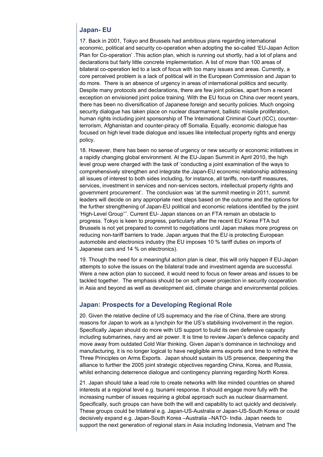## **Japan- EU**

17. Back in 2001, Tokyo and Brussels had ambitious plans regarding international economic, political and security co-operation when adopting the so-called 'EU-Japan Action Plan for Co-operation' .This action plan, which is running out shortly, had a lot of plans and declarations but fairly little concrete implementation. A list of more than 100 areas of bilateral co-operation led to a lack of focus with too many issues and areas. Currently, a core perceived problem is a lack of political will in the European Commission and Japan to do more. There is an absence of urgency in areas of international politics and security. Despite many protocols and declarations, there are few joint policies, apart from a recent exception on envisioned joint police training. With the EU focus on China over recent years, there has been no diversification of Japanese foreign and security policies. Much ongoing security dialogue has taken place on nuclear disarmament, ballistic missile proliferation, human rights including joint sponsorship of The International Criminal Court (ICC), counterterrorism, Afghanistan and counter-piracy off Somalia. Equally, economic dialogue has focused on high level trade dialogue and issues like intellectual property rights and energy policy.

18. However, there has been no sense of urgency or new security or economic initiatives in a rapidly changing global environment. At the EU-Japan Summit in April 2010, the high level group were charged with the task of 'conducting a joint examination of the ways to comprehensively strengthen and integrate the Japan-EU economic relationship addressing all issues of interest to both sides including, for instance, all tariffs, non-tariff measures, services, investment in services and non-services sectors, intellectual property rights and government procurement'. The conclusion was 'at the summit meeting in 2011, summit leaders will decide on any appropriate next steps based on the outcome and the options for the further strengthening of Japan-EU political and economic relations identified by the joint 'High-Level Group'''. Current EU- Japan stances on an FTA remain an obstacle to progress. Tokyo is keen to progress, particularly after the recent EU Korea FTA but Brussels is not yet prepared to commit to negotiations until Japan makes more progress on reducing non-tariff barriers to trade. Japan argues that the EU is protecting European automobile and electronics industry (the EU imposes 10 % tariff duties on imports of Japanese cars and 14 % on electronics).

19. Though the need for a meaningful action plan is clear, this will only happen if EU-Japan attempts to solve the issues on the bilateral trade and investment agenda are successful. Were a new action plan to succeed, it would need to focus on fewer areas and issues to be tackled together. The emphasis should be on soft power projection in security cooperation in Asia and beyond as well as development aid, climate change and environmental policies.

## **Japan: Prospects for a Developing Regional Role**

20. Given the relative decline of US supremacy and the rise of China, there are strong reasons for Japan to work as a lynchpin for the US's stabilising involvement in the region. Specifically Japan should do more with US support to build its own defensive capacity including submarines, navy and air power. It is time to review Japan's defence capacity and move away from outdated Cold War thinking. Given Japan's dominance in technology and manufacturing, it is no longer logical to have negligible arms exports and time to rethink the Three Principles on Arms Exports. Japan should sustain its US presence, deepening the alliance to further the 2005 joint strategic objectives regarding China, Korea, and Russia, whilst enhancing deterrence dialogue and contingency planning regarding North Korea.

21. Japan should take a lead role to create networks with like minded countries on shared interests at a regional level e.g. tsunami response. It should engage more fully with the increasing number of issues requiring a global approach such as nuclear disarmament. Specifically, such groups can have both the will and capability to act quickly and decisively. These groups could be trilateral e.g. Japan-US-Australia or Japan-US-South Korea or could decisively expand e.g. Japan-South Korea –Australia –NATO- India. Japan needs to support the next generation of regional stars in Asia including Indonesia, Vietnam and The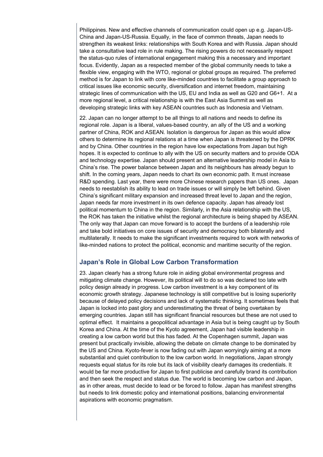Philippines. New and effective channels of communication could open up e.g. Japan-US-China and Japan-US-Russia. Equally, in the face of common threats, Japan needs to strengthen its weakest links: relationships with South Korea and with Russia. Japan should take a consultative lead role in rule making. The rising powers do not necessarily respect the status-quo rules of international engagement making this a necessary and important focus. Evidently, Japan as a respected member of the global community needs to take a flexible view, engaging with the WTO, regional or global groups as required. The preferred method is for Japan to link with core like-minded countries to facilitate a group approach to critical issues like economic security, diversification and internet freedom, maintaining strategic lines of communication with the US, EU and India as well as G20 and G6+1. At a more regional level, a critical relationship is with the East Asia Summit as well as developing strategic links with key ASEAN countries such as Indonesia and Vietnam.

22. Japan can no longer attempt to be all things to all nations and needs to define its regional role. Japan is a liberal, values-based country, an ally of the US and a working partner of China, ROK and ASEAN. Isolation is dangerous for Japan as this would allow others to determine its regional relations at a time when Japan is threatened by the DPRK and by China. Other countries in the region have low expectations from Japan but high hopes. It is expected to continue to ally with the US on security matters and to provide ODA and technology expertise. Japan should present an alternative leadership model in Asia to China's rise. The power balance between Japan and its neighbours has already begun to shift. In the coming years, Japan needs to chart its own economic path. It must increase R&D spending. Last year, there were more Chinese research papers than US ones. Japan needs to reestablish its ability to lead on trade issues or will simply be left behind. Given China's significant military expansion and increased threat level to Japan and the region, Japan needs far more investment in its own defence capacity. Japan has already lost political momentum to China in the region. Similarly, in the Asia relationship with the US, the ROK has taken the initiative whilst the regional architecture is being shaped by ASEAN. The only way that Japan can move forward is to accept the burdens of a leadership role and take bold initiatives on core issues of security and democracy both bilaterally and multilaterally. It needs to make the significant investments required to work with networks of like-minded nations to protect the political, economic and maritime security of the region.

## **Japan's Role in Global Low Carbon Transformation**

23. Japan clearly has a strong future role in aiding global environmental progress and mitigating climate change. However, its political will to do so was declared too late with policy design already in progress. Low carbon investment is a key component of its economic growth strategy. Japanese technology is still competitive but is losing superiority because of delayed policy decisions and lack of systematic thinking. It sometimes feels that Japan is locked into past glory and underestimating the threat of being overtaken by emerging countries. Japan still has significant financial resources but these are not used to optimal effect. It maintains a geopolitical advantage in Asia but is being caught up by South Korea and China. At the time of the Kyoto agreement, Japan had visible leadership in creating a low carbon world but this has faded. At the Copenhagen summit, Japan was present but practically invisible, allowing the debate on climate change to be dominated by the US and China. Kyoto-fever is now fading out with Japan worryingly aiming at a more substantial and quiet contribution to the low carbon world. In negotiations, Japan strongly requests equal status for its role but its lack of visibility clearly damages its credentials. It would be far more productive for Japan to first publicise and carefully brand its contribution and then seek the respect and status due. The world is becoming low carbon and Japan, as in other areas, must decide to lead or be forced to follow. Japan has manifest strengths but needs to link domestic policy and international positions, balancing environmental aspirations with economic pragmatism.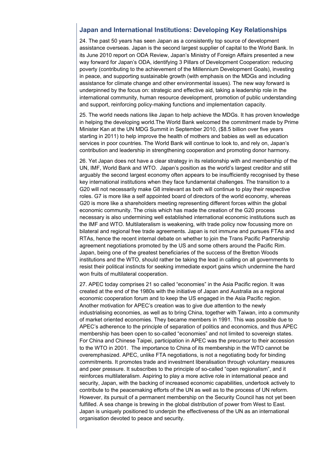## **Japan and International Institutions: Developing Key Relationships**

24. The past 50 years has seen Japan as a consistently top source of development assistance overseas. Japan is the second largest supplier of capital to the World Bank. In its June 2010 report on ODA Review, Japan's Ministry of Foreign Affairs presented a new way forward for Japan's ODA, identifying 3 Pillars of Development Cooperation: reducing poverty (contributing to the achievement of the Millennium Development Goals), investing in peace, and supporting sustainable growth (with emphasis on the MDGs and including assistance for climate change and other environmental issues). The new way forward is underpinned by the focus on: strategic and effective aid, taking a leadership role in the international community, human resource development, promotion of public understanding and support, reinforcing policy-making functions and implementation capacity.

25. The world needs nations like Japan to help achieve the MDGs. It has proven knowledge in helping the developing world.The World Bank welcomed the commitment made by Prime Minister Kan at the UN MDG Summit in September 2010, (\$8.5 billion over five years starting in 2011) to help improve the health of mothers and babies as well as education services in poor countries. The World Bank will continue to look to, and rely on, Japan's contribution and leadership in strengthening cooperation and promoting donor harmony.

26. Yet Japan does not have a clear strategy in its relationship with and membership of the UN, IMF, World Bank and WTO. Japan's position as the world's largest creditor and still arguably the second largest economy often appears to be insufficiently recognised by these key international institutions when they face fundamental challenges. The transition to a G20 will not necessarily make G8 irrelevant as both will continue to play their respective roles. G7 is more like a self appointed board of directors of the world economy, whereas G20 is more like a shareholders meeting representing different forces within the global economic community. The crisis which has made the creation of the G20 process necessary is also undermining well established international economic institutions such as the IMF and WTO. Multilateralism is weakening, with trade policy now focussing more on bilateral and regional free trade agreements. Japan is not immune and pursues FTAs and RTAs, hence the recent internal debate on whether to join the Trans Pacific Partnership agreement negotiations promoted by the US and some others around the Pacific Rim. Japan, being one of the greatest beneficiaries of the success of the Bretton Woods institutions and the WTO, should rather be taking the lead in calling on all governments to resist their political instincts for seeking immediate export gains which undermine the hard won fruits of multilateral cooperation.

27. APEC today comprises 21 so called "economies" in the Asia Pacific region. It was created at the end of the 1980s with the initiative of Japan and Australia as a regional economic cooperation forum and to keep the US engaged in the Asia Pacific region. Another motivation for APEC's creation was to give due attention to the newly industrialising economies, as well as to bring China, together with Taiwan, into a community of market oriented economies. They became members in 1991. This was possible due to APEC's adherence to the principle of separation of politics and economics, and thus APEC membership has been open to so-called "economies" and not limited to sovereign states. For China and Chinese Taipei, participation in APEC was the precursor to their accession to the WTO in 2001. The importance to China of its membership in the WTO cannot be overemphasized. APEC, unlike FTA negotiations, is not a negotiating body for binding commitments. It promotes trade and investment liberalisation through voluntary measures and peer pressure. It subscribes to the principle of so-called "open regionalism", and it reinforces multilateralism. Aspiring to play a more active role in international peace and security, Japan, with the backing of increased economic capabilities, undertook actively to contribute to the peacemaking efforts of the UN as well as to the process of UN reform. However, its pursuit of a permanent membership on the Security Council has not yet been fulfilled. A sea change is brewing in the global distribution of power from West to East. Japan is uniquely positioned to underpin the effectiveness of the UN as an international organisation devoted to peace and security.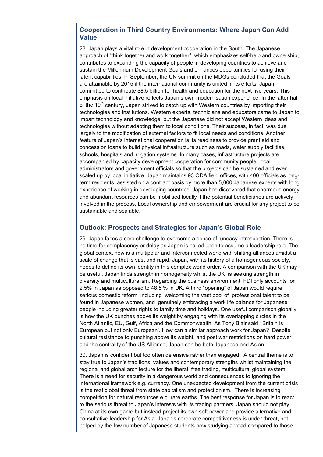## **Cooperation in Third Country Environments: Where Japan Can Add Value**

28. Japan plays a vital role in development cooperation in the South. The Japanese approach of "think together and work together", which emphasizes self-help and ownership, contributes to expanding the capacity of people in developing countries to achieve and sustain the Millennium Development Goals and enhances opportunities for using their latent capabilities. In September, the UN summit on the MDGs concluded that the Goals are attainable by 2015 if the international community is united in its efforts. Japan committed to contribute \$8.5 billion for health and education for the next five years. This emphasis on local initiative reflects Japan's own modernisation experience. In the latter half of the 19<sup>th</sup> century, Japan strived to catch up with Western countries by importing their technologies and institutions. Western experts, technicians and educators came to Japan to impart technology and knowledge, but the Japanese did not accept Western ideas and technologies without adapting them to local conditions. Their success, in fact, was due largely to the modification of external factors to fit local needs and conditions. Another feature of Japan's international cooperation is its readiness to provide grant aid and concession loans to build physical infrastructure such as roads, water supply facilities, schools, hospitals and irrigation systems. In many cases, infrastructure projects are accompanied by capacity development cooperation for community people, local administrators and government officials so that the projects can be sustained and even scaled up by local initiative. Japan maintains 93 ODA field offices, with 400 officials as longterm residents, assisted on a contract basis by more than 5,000 Japanese experts with long experience of working in developing countries. Japan has discovered that enormous energy and abundant resources can be mobilised locally if the potential beneficiaries are actively involved in the process. Local ownership and empowerment are crucial for any project to be sustainable and scalable.

## **Outlook: Prospects and Strategies for Japan's Global Role**

29. Japan faces a core challenge to overcome a sense of uneasy introspection. There is no time for complacency or delay as Japan is called upon to assume a leadership role. The global context now is a multipolar and interconnected world with shifting alliances amidst a scale of change that is vast and rapid. Japan, with its history of a homogeneous society, needs to define its own identity in this complex world order. A comparison with the UK may be useful. Japan finds strength in homogeneity whilst the UK is seeking strength in diversity and multiculturalism. Regarding the business environment, FDI only accounts for 2.5% in Japan as opposed to 48.5 % in UK. A third "opening" of Japan would require serious domestic reform including welcoming the vast pool of professional talent to be found in Japanese women, and genuinely embracing a work life balance for Japanese people including greater rights to family time and holidays. One useful comparison globally is how the UK punches above its weight by engaging with its overlapping circles in the North Atlantic, EU, Gulf, Africa and the Commonwealth. As Tony Blair said ' Britain is European but not only European'. How can a similar approach work for Japan? Despite cultural resistance to punching above its weight, and post war restrictions on hard power and the centrality of the US Alliance, Japan can be both Japanese and Asian.

30. Japan is confident but too often defensive rather than engaged. A central theme is to stay true to Japan's traditions, values and contemporary strengths whilst maintaining the regional and global architecture for the liberal, free trading, multicultural global system. There is a need for security in a dangerous world and consequences to ignoring the international framework e.g. currency. One unexpected development from the current crisis is the real global threat from state capitalism and protectionism. There is increasing competition for natural resources e.g. rare earths. The best response for Japan is to react to the serious threat to Japan's interests with its trading partners. Japan should not play China at its own game but instead project its own soft power and provide alternative and consultative leadership for Asia. Japan's corporate competitiveness is under threat, not helped by the low number of Japanese students now studying abroad compared to those